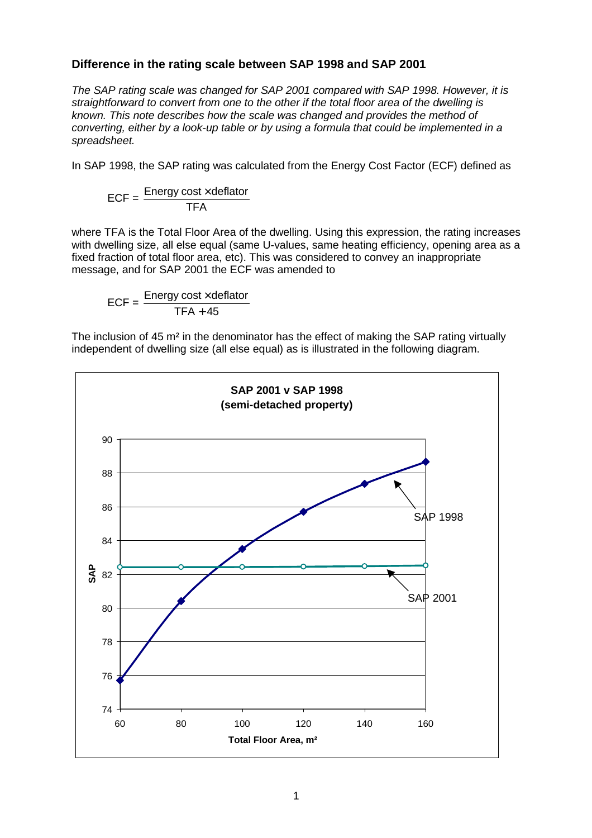## **Difference in the rating scale between SAP 1998 and SAP 2001**

*The SAP rating scale was changed for SAP 2001 compared with SAP 1998. However, it is straightforward to convert from one to the other if the total floor area of the dwelling is known. This note describes how the scale was changed and provides the method of converting, either by a look-up table or by using a formula that could be implemented in a spreadsheet.*

In SAP 1998, the SAP rating was calculated from the Energy Cost Factor (ECF) defined as

$$
ECF = \frac{Energy cost \times deflator}{TFA}
$$

where TFA is the Total Floor Area of the dwelling. Using this expression, the rating increases with dwelling size, all else equal (same U-values, same heating efficiency, opening area as a fixed fraction of total floor area, etc). This was considered to convey an inappropriate message, and for SAP 2001 the ECF was amended to

 $ECF = \frac{Energy cost \times deflator}{T = 1 - 1}$  $TFA + 45$ 

The inclusion of 45 m² in the denominator has the effect of making the SAP rating virtually independent of dwelling size (all else equal) as is illustrated in the following diagram.